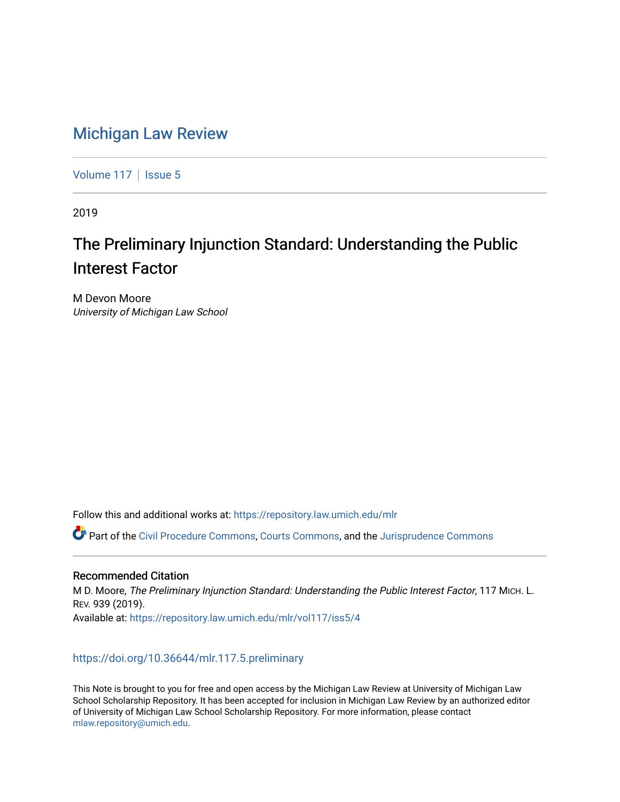# [Michigan Law Review](https://repository.law.umich.edu/mlr)

[Volume 117](https://repository.law.umich.edu/mlr/vol117) | [Issue 5](https://repository.law.umich.edu/mlr/vol117/iss5)

2019

# The Preliminary Injunction Standard: Understanding the Public Interest Factor

M Devon Moore University of Michigan Law School

Follow this and additional works at: [https://repository.law.umich.edu/mlr](https://repository.law.umich.edu/mlr?utm_source=repository.law.umich.edu%2Fmlr%2Fvol117%2Fiss5%2F4&utm_medium=PDF&utm_campaign=PDFCoverPages) 

Part of the [Civil Procedure Commons,](http://network.bepress.com/hgg/discipline/584?utm_source=repository.law.umich.edu%2Fmlr%2Fvol117%2Fiss5%2F4&utm_medium=PDF&utm_campaign=PDFCoverPages) [Courts Commons](http://network.bepress.com/hgg/discipline/839?utm_source=repository.law.umich.edu%2Fmlr%2Fvol117%2Fiss5%2F4&utm_medium=PDF&utm_campaign=PDFCoverPages), and the [Jurisprudence Commons](http://network.bepress.com/hgg/discipline/610?utm_source=repository.law.umich.edu%2Fmlr%2Fvol117%2Fiss5%2F4&utm_medium=PDF&utm_campaign=PDFCoverPages)

### Recommended Citation

M D. Moore, The Preliminary Injunction Standard: Understanding the Public Interest Factor, 117 MICH. L. REV. 939 (2019). Available at: [https://repository.law.umich.edu/mlr/vol117/iss5/4](https://repository.law.umich.edu/mlr/vol117/iss5/4?utm_source=repository.law.umich.edu%2Fmlr%2Fvol117%2Fiss5%2F4&utm_medium=PDF&utm_campaign=PDFCoverPages) 

## <https://doi.org/10.36644/mlr.117.5.preliminary>

This Note is brought to you for free and open access by the Michigan Law Review at University of Michigan Law School Scholarship Repository. It has been accepted for inclusion in Michigan Law Review by an authorized editor of University of Michigan Law School Scholarship Repository. For more information, please contact [mlaw.repository@umich.edu.](mailto:mlaw.repository@umich.edu)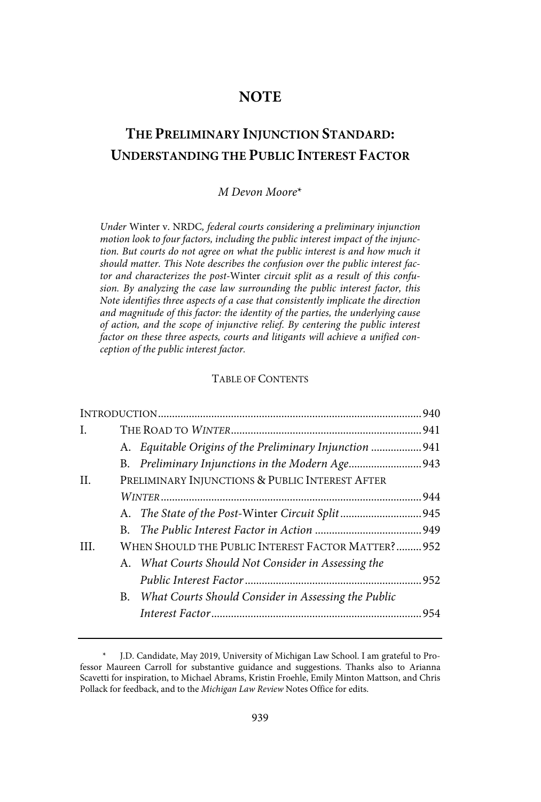## **NOTE**

# **THE PRELIMINARY INJUNCTION STANDARD: UNDERSTANDING THE PUBLIC INTEREST FACTOR**

#### M Devon Moore\*

Under Winter v. NRDC, federal courts considering a preliminary injunction motion look to four factors, including the public interest impact of the injunction. But courts do not agree on what the public interest is and how much it should matter. This Note describes the confusion over the public interest factor and characterizes the post-Winter circuit split as a result of this confusion. By analyzing the case law surrounding the public interest factor, this Note identifies three aspects of a case that consistently implicate the direction and magnitude of this factor: the identity of the parties, the underlying cause of action, and the scope of injunctive relief. By centering the public interest factor on these three aspects, courts and litigants will achieve a unified conception of the public interest factor.

#### TABLE OF CONTENTS

| L.   |                                                    |                                                         |  |  |
|------|----------------------------------------------------|---------------------------------------------------------|--|--|
|      |                                                    | A. Equitable Origins of the Preliminary Injunction  941 |  |  |
|      |                                                    | B. Preliminary Injunctions in the Modern Age943         |  |  |
| H.   | PRELIMINARY INJUNCTIONS & PUBLIC INTEREST AFTER    |                                                         |  |  |
|      |                                                    |                                                         |  |  |
|      |                                                    |                                                         |  |  |
|      |                                                    |                                                         |  |  |
| III. | WHEN SHOULD THE PUBLIC INTEREST FACTOR MATTER? 952 |                                                         |  |  |
|      |                                                    | A. What Courts Should Not Consider in Assessing the     |  |  |
|      |                                                    |                                                         |  |  |
|      |                                                    | B. What Courts Should Consider in Assessing the Public  |  |  |
|      |                                                    |                                                         |  |  |
|      |                                                    |                                                         |  |  |

J.D. Candidate, May 2019, University of Michigan Law School. I am grateful to Professor Maureen Carroll for substantive guidance and suggestions. Thanks also to Arianna Scavetti for inspiration, to Michael Abrams, Kristin Froehle, Emily Minton Mattson, and Chris Pollack for feedback, and to the Michigan Law Review Notes Office for edits.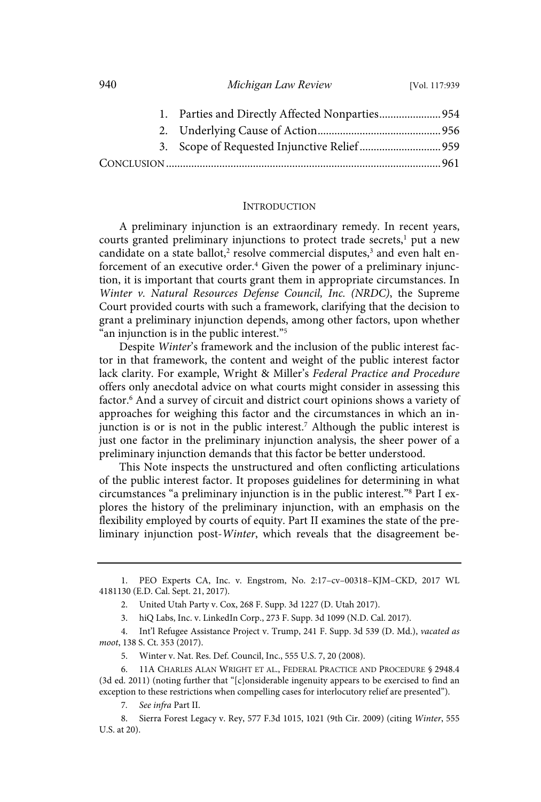#### **INTRODUCTION**

A preliminary injunction is an extraordinary remedy. In recent years, courts granted preliminary injunctions to protect trade secrets, $<sup>1</sup>$  put a new</sup> candidate on a state ballot,<sup>2</sup> resolve commercial disputes,<sup>3</sup> and even halt enforcement of an executive order.<sup>4</sup> Given the power of a preliminary injunction, it is important that courts grant them in appropriate circumstances. In Winter v. Natural Resources Defense Council, Inc. (NRDC), the Supreme Court provided courts with such a framework, clarifying that the decision to grant a preliminary injunction depends, among other factors, upon whether an injunction is in the public interest."<sup>5</sup>

Despite Winter's framework and the inclusion of the public interest factor in that framework, the content and weight of the public interest factor lack clarity. For example, Wright & Miller's Federal Practice and Procedure offers only anecdotal advice on what courts might consider in assessing this factor.<sup>6</sup> And a survey of circuit and district court opinions shows a variety of approaches for weighing this factor and the circumstances in which an injunction is or is not in the public interest.<sup>7</sup> Although the public interest is just one factor in the preliminary injunction analysis, the sheer power of a preliminary injunction demands that this factor be better understood.

This Note inspects the unstructured and often conflicting articulations of the public interest factor. It proposes guidelines for determining in what circumstances "a preliminary injunction is in the public interest."<sup>8</sup> Part I explores the history of the preliminary injunction, with an emphasis on the flexibility employed by courts of equity. Part II examines the state of the preliminary injunction post-Winter, which reveals that the disagreement be-

<sup>1.</sup> PEO Experts CA, Inc. v. Engstrom, No. 2:17–cv–00318–KJM–CKD, 2017 WL 4181130 (E.D. Cal. Sept. 21, 2017).

<sup>2.</sup> United Utah Party v. Cox, 268 F. Supp. 3d 1227 (D. Utah 2017).

<sup>3.</sup> hiQ Labs, Inc. v. LinkedIn Corp., 273 F. Supp. 3d 1099 (N.D. Cal. 2017).

<sup>4.</sup> Int'l Refugee Assistance Project v. Trump, 241 F. Supp. 3d 539 (D. Md.), vacated as moot, 138 S. Ct. 353 (2017).

<sup>5.</sup> Winter v. Nat. Res. Def. Council, Inc., 555 U.S. 7, 20 (2008).

<sup>6. 11</sup>A CHARLES ALAN WRIGHT ET AL., FEDERAL PRACTICE AND PROCEDURE § 2948.4 (3d ed. 2011) (noting further that "[c]onsiderable ingenuity appears to be exercised to find an exception to these restrictions when compelling cases for interlocutory relief are presented").

<sup>7.</sup> See infra Part II.

<sup>8.</sup> Sierra Forest Legacy v. Rey, 577 F.3d 1015, 1021 (9th Cir. 2009) (citing Winter, 555 U.S. at 20).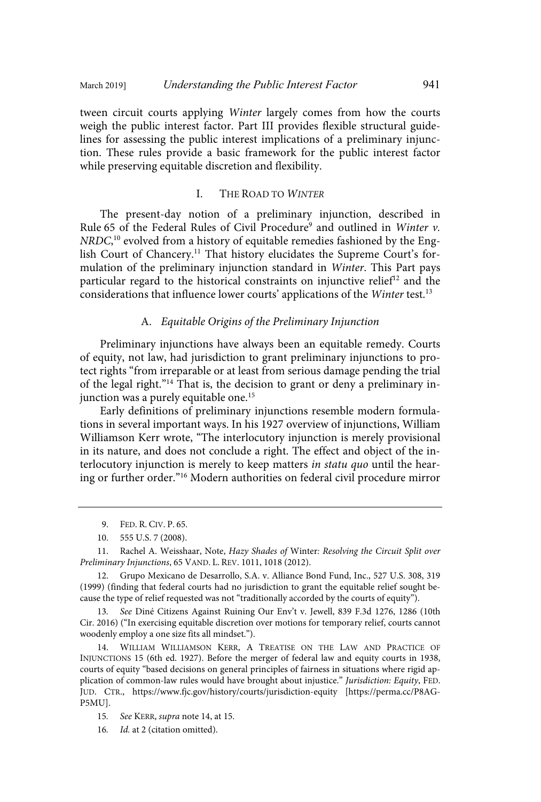tween circuit courts applying Winter largely comes from how the courts weigh the public interest factor. Part III provides flexible structural guidelines for assessing the public interest implications of a preliminary injunction. These rules provide a basic framework for the public interest factor while preserving equitable discretion and flexibility.

#### I. THE ROAD TO WINTER

The present-day notion of a preliminary injunction, described in Rule 65 of the Federal Rules of Civil Procedure<sup>9</sup> and outlined in Winter v. NRDC, <sup>10</sup> evolved from a history of equitable remedies fashioned by the English Court of Chancery.<sup>11</sup> That history elucidates the Supreme Court's formulation of the preliminary injunction standard in Winter. This Part pays particular regard to the historical constraints on injunctive relief<sup>12</sup> and the considerations that influence lower courts' applications of the Winter test.<sup>13</sup>

#### A. Equitable Origins of the Preliminary Injunction

Preliminary injunctions have always been an equitable remedy. Courts of equity, not law, had jurisdiction to grant preliminary injunctions to protect rights "from irreparable or at least from serious damage pending the trial of the legal right."<sup>14</sup> That is, the decision to grant or deny a preliminary injunction was a purely equitable one.<sup>15</sup>

Early definitions of preliminary injunctions resemble modern formulations in several important ways. In his 1927 overview of injunctions, William Williamson Kerr wrote, "The interlocutory injunction is merely provisional in its nature, and does not conclude a right. The effect and object of the interlocutory injunction is merely to keep matters in statu quo until the hearing or further order."<sup>16</sup> Modern authorities on federal civil procedure mirror

11. Rachel A. Weisshaar, Note, Hazy Shades of Winter: Resolving the Circuit Split over Preliminary Injunctions, 65 VAND. L. REV. 1011, 1018 (2012).

12. Grupo Mexicano de Desarrollo, S.A. v. Alliance Bond Fund, Inc., 527 U.S. 308, 319 (1999) (finding that federal courts had no jurisdiction to grant the equitable relief sought because the type of relief requested was not "traditionally accorded by the courts of equity").

13 . See Diné Citizens Against Ruining Our Env't v. Jewell, 839 F.3d 1276, 1286 (10th Cir. 2016) ("In exercising equitable discretion over motions for temporary relief, courts cannot woodenly employ a one size fits all mindset.").

14. WILLIAM WILLIAMSON KERR, A TREATISE ON THE LAW AND PRACTICE OF INJUNCTIONS 15 (6th ed. 1927). Before the merger of federal law and equity courts in 1938, courts of equity "based decisions on general principles of fairness in situations where rigid application of common-law rules would have brought about injustice." Jurisdiction: Equity, FED. JUD. CTR., https://www.fjc.gov/history/courts/jurisdiction-equity [https://perma.cc/P8AG-P5MU].

15. See KERR, supra note 14, at 15.

16. *Id.* at 2 (citation omitted).

<sup>9.</sup> FED. R. CIV. P. 65.

<sup>10. 555</sup> U.S. 7 (2008).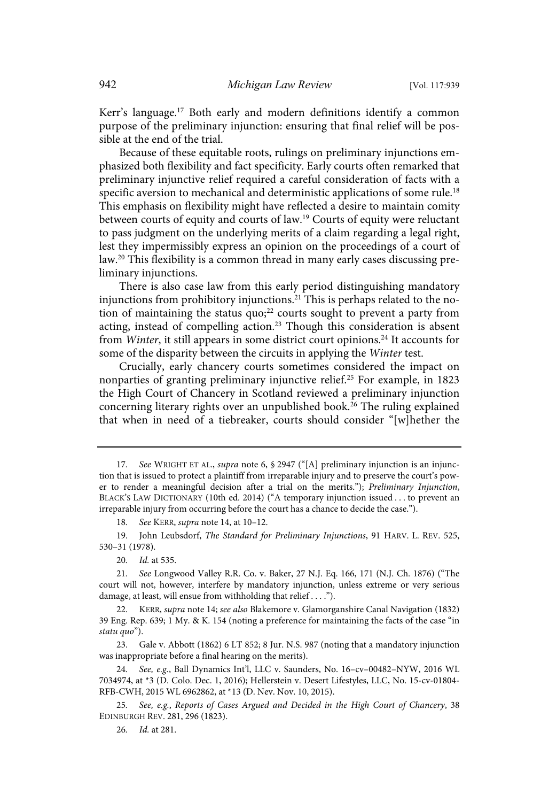Kerr's language.<sup>17</sup> Both early and modern definitions identify a common purpose of the preliminary injunction: ensuring that final relief will be possible at the end of the trial.

Because of these equitable roots, rulings on preliminary injunctions emphasized both flexibility and fact specificity. Early courts often remarked that preliminary injunctive relief required a careful consideration of facts with a specific aversion to mechanical and deterministic applications of some rule.<sup>18</sup> This emphasis on flexibility might have reflected a desire to maintain comity between courts of equity and courts of law.<sup>19</sup> Courts of equity were reluctant to pass judgment on the underlying merits of a claim regarding a legal right, lest they impermissibly express an opinion on the proceedings of a court of law.<sup>20</sup> This flexibility is a common thread in many early cases discussing preliminary injunctions.

There is also case law from this early period distinguishing mandatory injunctions from prohibitory injunctions.<sup>21</sup> This is perhaps related to the notion of maintaining the status quo; $22$  courts sought to prevent a party from acting, instead of compelling action.<sup>23</sup> Though this consideration is absent from *Winter*, it still appears in some district court opinions.<sup>24</sup> It accounts for some of the disparity between the circuits in applying the Winter test.

Crucially, early chancery courts sometimes considered the impact on nonparties of granting preliminary injunctive relief.<sup>25</sup> For example, in 1823 the High Court of Chancery in Scotland reviewed a preliminary injunction concerning literary rights over an unpublished book.<sup>26</sup> The ruling explained that when in need of a tiebreaker, courts should consider "[w]hether the

18. See KERR, supra note 14, at 10-12.

19. John Leubsdorf, The Standard for Preliminary Injunctions, 91 HARV. L. REV. 525, 530–31 (1978).

20. *Id.* at 535.

<sup>17.</sup> See WRIGHT ET AL., supra note 6, § 2947 ("[A] preliminary injunction is an injunction that is issued to protect a plaintiff from irreparable injury and to preserve the court's power to render a meaningful decision after a trial on the merits."); Preliminary Injunction, BLACK'S LAW DICTIONARY (10th ed. 2014) ("A temporary injunction issued . . . to prevent an irreparable injury from occurring before the court has a chance to decide the case.").

<sup>21.</sup> See Longwood Valley R.R. Co. v. Baker, 27 N.J. Eq. 166, 171 (N.J. Ch. 1876) ("The court will not, however, interfere by mandatory injunction, unless extreme or very serious damage, at least, will ensue from withholding that relief . . . .").

<sup>22.</sup> KERR, supra note 14; see also Blakemore v. Glamorganshire Canal Navigation (1832) 39 Eng. Rep. 639; 1 My. & K. 154 (noting a preference for maintaining the facts of the case "in statu quo").

<sup>23.</sup> Gale v. Abbott (1862) 6 LT 852; 8 Jur. N.S. 987 (noting that a mandatory injunction was inappropriate before a final hearing on the merits).

<sup>24.</sup> See, e.g., Ball Dynamics Int'l, LLC v. Saunders, No. 16-cv-00482-NYW, 2016 WL 7034974, at \*3 (D. Colo. Dec. 1, 2016); Hellerstein v. Desert Lifestyles, LLC, No. 15-cv-01804- RFB-CWH, 2015 WL 6962862, at \*13 (D. Nev. Nov. 10, 2015).

<sup>25.</sup> See, e.g., Reports of Cases Argued and Decided in the High Court of Chancery, 38 EDINBURGH REV. 281, 296 (1823).

<sup>26.</sup> *Id.* at 281.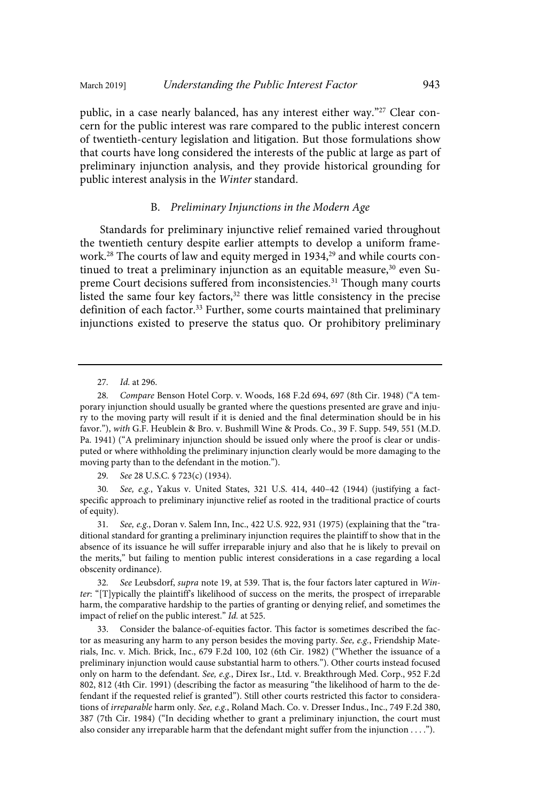public, in a case nearly balanced, has any interest either way."<sup>27</sup> Clear concern for the public interest was rare compared to the public interest concern of twentieth-century legislation and litigation. But those formulations show that courts have long considered the interests of the public at large as part of preliminary injunction analysis, and they provide historical grounding for public interest analysis in the Winter standard.

#### B. Preliminary Injunctions in the Modern Age

Standards for preliminary injunctive relief remained varied throughout the twentieth century despite earlier attempts to develop a uniform framework.<sup>28</sup> The courts of law and equity merged in 1934,<sup>29</sup> and while courts continued to treat a preliminary injunction as an equitable measure, $30$  even Supreme Court decisions suffered from inconsistencies.<sup>31</sup> Though many courts listed the same four key factors, $32$  there was little consistency in the precise definition of each factor.<sup>33</sup> Further, some courts maintained that preliminary injunctions existed to preserve the status quo. Or prohibitory preliminary

29. See 28 U.S.C. § 723(c) (1934).

30. See, e.g., Yakus v. United States, 321 U.S. 414, 440-42 (1944) (justifying a factspecific approach to preliminary injunctive relief as rooted in the traditional practice of courts of equity).

31. See, e.g., Doran v. Salem Inn, Inc., 422 U.S. 922, 931 (1975) (explaining that the "traditional standard for granting a preliminary injunction requires the plaintiff to show that in the absence of its issuance he will suffer irreparable injury and also that he is likely to prevail on the merits," but failing to mention public interest considerations in a case regarding a local obscenity ordinance).

32. See Leubsdorf, supra note 19, at 539. That is, the four factors later captured in Winter: "[T]ypically the plaintiff's likelihood of success on the merits, the prospect of irreparable harm, the comparative hardship to the parties of granting or denying relief, and sometimes the impact of relief on the public interest." Id. at 525.

33. Consider the balance-of-equities factor. This factor is sometimes described the factor as measuring any harm to any person besides the moving party. See,  $e.g.,$  Friendship Materials, Inc. v. Mich. Brick, Inc., 679 F.2d 100, 102 (6th Cir. 1982) ("Whether the issuance of a preliminary injunction would cause substantial harm to others."). Other courts instead focused only on harm to the defendant. See, e.g., Direx Isr., Ltd. v. Breakthrough Med. Corp., 952 F.2d 802, 812 (4th Cir. 1991) (describing the factor as measuring "the likelihood of harm to the defendant if the requested relief is granted"). Still other courts restricted this factor to considerations of irreparable harm only. See, e.g., Roland Mach. Co. v. Dresser Indus., Inc., 749 F.2d 380, 387 (7th Cir. 1984) ("In deciding whether to grant a preliminary injunction, the court must also consider any irreparable harm that the defendant might suffer from the injunction . . . .").

<sup>27.</sup> *Id.* at 296.

<sup>28</sup> . Compare Benson Hotel Corp. v. Woods, 168 F.2d 694, 697 (8th Cir. 1948) ("A temporary injunction should usually be granted where the questions presented are grave and injury to the moving party will result if it is denied and the final determination should be in his favor."), with G.F. Heublein & Bro. v. Bushmill Wine & Prods. Co., 39 F. Supp. 549, 551 (M.D. Pa. 1941) ("A preliminary injunction should be issued only where the proof is clear or undisputed or where withholding the preliminary injunction clearly would be more damaging to the moving party than to the defendant in the motion.").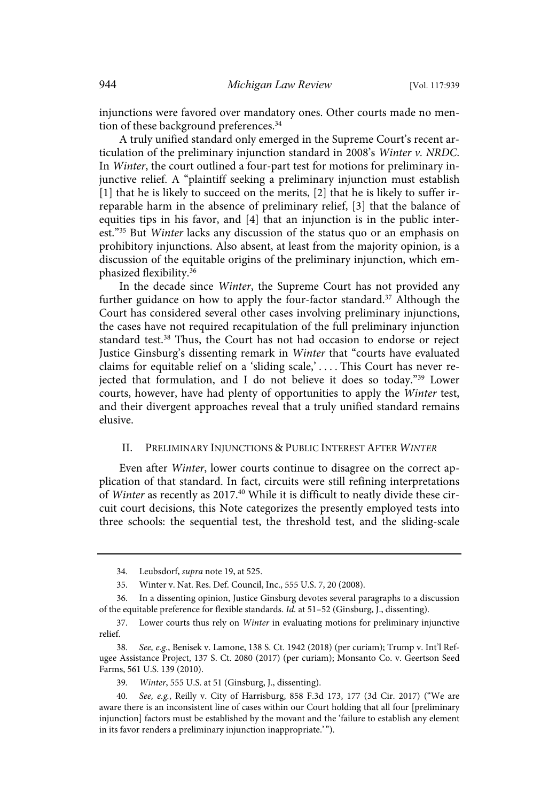injunctions were favored over mandatory ones. Other courts made no mention of these background preferences.<sup>34</sup>

A truly unified standard only emerged in the Supreme Court's recent articulation of the preliminary injunction standard in 2008's Winter  $v$ . NRDC. In Winter, the court outlined a four-part test for motions for preliminary injunctive relief. A "plaintiff seeking a preliminary injunction must establish [1] that he is likely to succeed on the merits, [2] that he is likely to suffer irreparable harm in the absence of preliminary relief, [3] that the balance of equities tips in his favor, and [4] that an injunction is in the public interest."<sup>35</sup> But *Winter* lacks any discussion of the status quo or an emphasis on prohibitory injunctions. Also absent, at least from the majority opinion, is a discussion of the equitable origins of the preliminary injunction, which emphasized flexibility.<sup>36</sup>

In the decade since Winter, the Supreme Court has not provided any further guidance on how to apply the four-factor standard.<sup>37</sup> Although the Court has considered several other cases involving preliminary injunctions, the cases have not required recapitulation of the full preliminary injunction standard test.<sup>38</sup> Thus, the Court has not had occasion to endorse or reject Justice Ginsburg's dissenting remark in Winter that "courts have evaluated claims for equitable relief on a 'sliding scale,' .... This Court has never rejected that formulation, and I do not believe it does so today."<sup>39</sup> Lower courts, however, have had plenty of opportunities to apply the Winter test, and their divergent approaches reveal that a truly unified standard remains elusive.

#### II. PRELIMINARY INJUNCTIONS & PUBLIC INTEREST AFTER WINTER

Even after Winter, lower courts continue to disagree on the correct application of that standard. In fact, circuits were still refining interpretations of Winter as recently as 2017.<sup>40</sup> While it is difficult to neatly divide these circuit court decisions, this Note categorizes the presently employed tests into three schools: the sequential test, the threshold test, and the sliding-scale

<sup>34.</sup> Leubsdorf, *supra* note 19, at 525.

<sup>35.</sup> Winter v. Nat. Res. Def. Council, Inc., 555 U.S. 7, 20 (2008).

<sup>36.</sup> In a dissenting opinion, Justice Ginsburg devotes several paragraphs to a discussion of the equitable preference for flexible standards. Id. at 51-52 (Ginsburg, J., dissenting).

<sup>37.</sup> Lower courts thus rely on Winter in evaluating motions for preliminary injunctive relief.

<sup>38.</sup> See, e.g., Benisek v. Lamone, 138 S. Ct. 1942 (2018) (per curiam); Trump v. Int'l Refugee Assistance Project, 137 S. Ct. 2080 (2017) (per curiam); Monsanto Co. v. Geertson Seed Farms, 561 U.S. 139 (2010).

<sup>39.</sup> Winter, 555 U.S. at 51 (Ginsburg, J., dissenting).

<sup>40.</sup> See, e.g., Reilly v. City of Harrisburg, 858 F.3d 173, 177 (3d Cir. 2017) ("We are aware there is an inconsistent line of cases within our Court holding that all four [preliminary injunction] factors must be established by the movant and the 'failure to establish any element in its favor renders a preliminary injunction inappropriate.' ").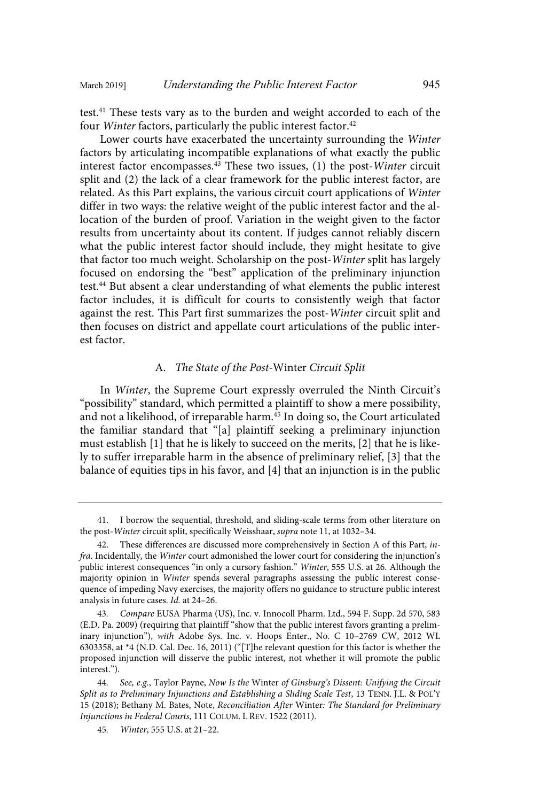test.<sup>41</sup> These tests vary as to the burden and weight accorded to each of the four *Winter* factors, particularly the public interest factor.<sup>42</sup>

Lower courts have exacerbated the uncertainty surrounding the Winter factors by articulating incompatible explanations of what exactly the public interest factor encompasses. $43$  These two issues, (1) the post-Winter circuit split and (2) the lack of a clear framework for the public interest factor, are related. As this Part explains, the various circuit court applications of Winter differ in two ways: the relative weight of the public interest factor and the allocation of the burden of proof. Variation in the weight given to the factor results from uncertainty about its content. If judges cannot reliably discern what the public interest factor should include, they might hesitate to give that factor too much weight. Scholarship on the post-Winter split has largely focused on endorsing the "best" application of the preliminary injunction test.<sup>44</sup> But absent a clear understanding of what elements the public interest factor includes, it is difficult for courts to consistently weigh that factor against the rest. This Part first summarizes the post-Winter circuit split and then focuses on district and appellate court articulations of the public interest factor.

#### A. The State of the Post-Winter Circuit Split

In Winter, the Supreme Court expressly overruled the Ninth Circuit's "possibility" standard, which permitted a plaintiff to show a mere possibility, and not a likelihood, of irreparable harm.<sup>45</sup> In doing so, the Court articulated the familiar standard that "[a] plaintiff seeking a preliminary injunction must establish [1] that he is likely to succeed on the merits, [2] that he is likely to suffer irreparable harm in the absence of preliminary relief, [3] that the balance of equities tips in his favor, and [4] that an injunction is in the public

<sup>41.</sup> I borrow the sequential, threshold, and sliding-scale terms from other literature on the post-Winter circuit split, specifically Weisshaar, supra note 11, at 1032–34.

<sup>42.</sup> These differences are discussed more comprehensively in Section A of this Part, infra. Incidentally, the Winter court admonished the lower court for considering the injunction's public interest consequences "in only a cursory fashion." Winter, 555 U.S. at 26. Although the majority opinion in Winter spends several paragraphs assessing the public interest consequence of impeding Navy exercises, the majority offers no guidance to structure public interest analysis in future cases. Id. at 24-26.

<sup>43.</sup> Compare EUSA Pharma (US), Inc. v. Innocoll Pharm. Ltd., 594 F. Supp. 2d 570, 583 (E.D. Pa. 2009) (requiring that plaintiff "show that the public interest favors granting a preliminary injunction"), with Adobe Sys. Inc. v. Hoops Enter., No. C 10–2769 CW, 2012 WL 6303358, at \*4 (N.D. Cal. Dec. 16, 2011) ("[T]he relevant question for this factor is whether the proposed injunction will disserve the public interest, not whether it will promote the public interest.").

<sup>44.</sup> See, e.g., Taylor Payne, Now Is the Winter of Ginsburg's Dissent: Unifying the Circuit Split as to Preliminary Injunctions and Establishing a Sliding Scale Test, 13 TENN. J.L. & POL'Y 15 (2018); Bethany M. Bates, Note, Reconciliation After Winter: The Standard for Preliminary Injunctions in Federal Courts, 111 COLUM. L REV. 1522 (2011).

<sup>45</sup> . Winter, 555 U.S. at 21–22.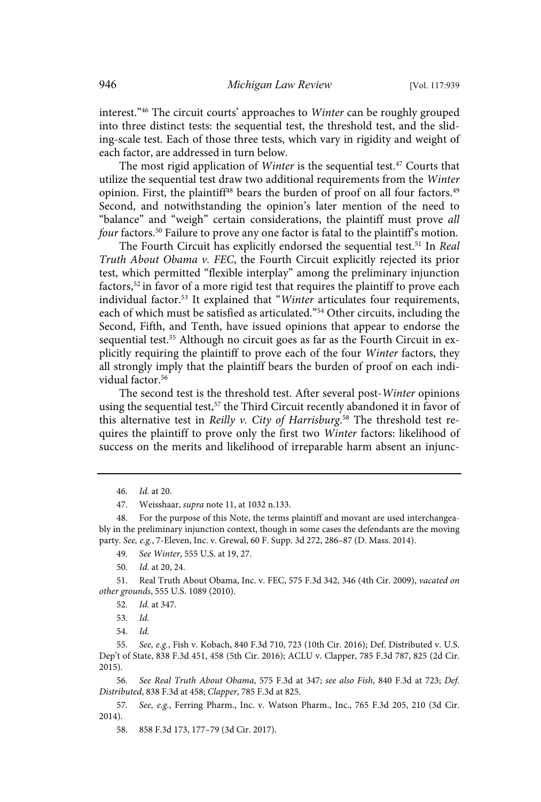interest."<sup>46</sup> The circuit courts' approaches to Winter can be roughly grouped into three distinct tests: the sequential test, the threshold test, and the sliding-scale test. Each of those three tests, which vary in rigidity and weight of each factor, are addressed in turn below.

The most rigid application of *Winter* is the sequential test.<sup>47</sup> Courts that utilize the sequential test draw two additional requirements from the Winter opinion. First, the plaintiff<sup>48</sup> bears the burden of proof on all four factors.<sup>49</sup> Second, and notwithstanding the opinion's later mention of the need to "balance" and "weigh" certain considerations, the plaintiff must prove all four factors.<sup>50</sup> Failure to prove any one factor is fatal to the plaintiff's motion.

The Fourth Circuit has explicitly endorsed the sequential test.<sup>51</sup> In Real Truth About Obama v. FEC, the Fourth Circuit explicitly rejected its prior test, which permitted "flexible interplay" among the preliminary injunction factors,<sup>52</sup> in favor of a more rigid test that requires the plaintiff to prove each individual factor.<sup>53</sup> It explained that "Winter articulates four requirements, each of which must be satisfied as articulated."<sup>54</sup> Other circuits, including the Second, Fifth, and Tenth, have issued opinions that appear to endorse the sequential test.<sup>55</sup> Although no circuit goes as far as the Fourth Circuit in explicitly requiring the plaintiff to prove each of the four Winter factors, they all strongly imply that the plaintiff bears the burden of proof on each individual factor.<sup>56</sup>

The second test is the threshold test. After several post-Winter opinions using the sequential test,<sup>57</sup> the Third Circuit recently abandoned it in favor of this alternative test in Reilly v. City of Harrisburg.<sup>58</sup> The threshold test requires the plaintiff to prove only the first two Winter factors: likelihood of success on the merits and likelihood of irreparable harm absent an injunc-

<sup>46.</sup> *Id.* at 20.

<sup>47.</sup> Weisshaar, supra note 11, at 1032 n.133.

<sup>48.</sup> For the purpose of this Note, the terms plaintiff and movant are used interchangeably in the preliminary injunction context, though in some cases the defendants are the moving party. See, e.g., 7-Eleven, Inc. v. Grewal, 60 F. Supp. 3d 272, 286-87 (D. Mass. 2014).

<sup>49.</sup> See Winter, 555 U.S. at 19, 27.

<sup>50.</sup> *Id.* at 20, 24.

<sup>51.</sup> Real Truth About Obama, Inc. v. FEC, 575 F.3d 342, 346 (4th Cir. 2009), vacated on other grounds, 555 U.S. 1089 (2010).

<sup>52.</sup> *Id.* at 347.

<sup>53.</sup> Id.

<sup>54.</sup> Id.

<sup>55.</sup> See, e.g., Fish v. Kobach, 840 F.3d 710, 723 (10th Cir. 2016); Def. Distributed v. U.S. Dep't of State, 838 F.3d 451, 458 (5th Cir. 2016); ACLU v. Clapper, 785 F.3d 787, 825 (2d Cir. 2015).

<sup>56.</sup> See Real Truth About Obama, 575 F.3d at 347; see also Fish, 840 F.3d at 723; Def. Distributed, 838 F.3d at 458; Clapper, 785 F.3d at 825.

<sup>57.</sup> See, e.g., Ferring Pharm., Inc. v. Watson Pharm., Inc., 765 F.3d 205, 210 (3d Cir. 2014).

<sup>58. 858</sup> F.3d 173, 177–79 (3d Cir. 2017).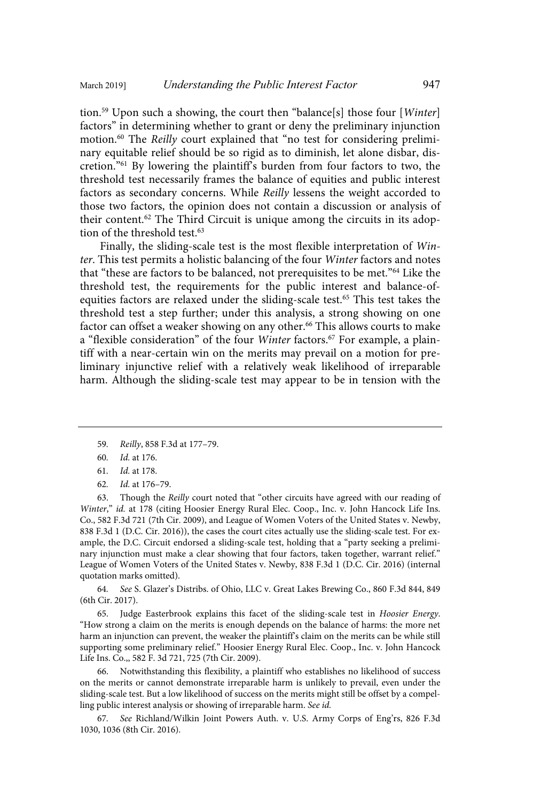tion.<sup>59</sup> Upon such a showing, the court then "balance[s] those four [Winter] factors" in determining whether to grant or deny the preliminary injunction motion.<sup>60</sup> The Reilly court explained that "no test for considering preliminary equitable relief should be so rigid as to diminish, let alone disbar, discretion."<sup>61</sup> By lowering the plaintiff's burden from four factors to two, the threshold test necessarily frames the balance of equities and public interest factors as secondary concerns. While Reilly lessens the weight accorded to those two factors, the opinion does not contain a discussion or analysis of their content.<sup>62</sup> The Third Circuit is unique among the circuits in its adoption of the threshold test.<sup>63</sup>

Finally, the sliding-scale test is the most flexible interpretation of Winter. This test permits a holistic balancing of the four Winter factors and notes that "these are factors to be balanced, not prerequisites to be met."<sup>64</sup> Like the threshold test, the requirements for the public interest and balance-ofequities factors are relaxed under the sliding-scale test.<sup>65</sup> This test takes the threshold test a step further; under this analysis, a strong showing on one factor can offset a weaker showing on any other.<sup>66</sup> This allows courts to make a "flexible consideration" of the four *Winter* factors.<sup>67</sup> For example, a plaintiff with a near-certain win on the merits may prevail on a motion for preliminary injunctive relief with a relatively weak likelihood of irreparable harm. Although the sliding-scale test may appear to be in tension with the

- 59 . Reilly, 858 F.3d at 177–79.
- 60. *Id.* at 176.

62. *Id.* at 176-79.

63. Though the Reilly court noted that "other circuits have agreed with our reading of Winter," id. at 178 (citing Hoosier Energy Rural Elec. Coop., Inc. v. John Hancock Life Ins. Co., 582 F.3d 721 (7th Cir. 2009), and League of Women Voters of the United States v. Newby, 838 F.3d 1 (D.C. Cir. 2016)), the cases the court cites actually use the sliding-scale test. For example, the D.C. Circuit endorsed a sliding-scale test, holding that a "party seeking a preliminary injunction must make a clear showing that four factors, taken together, warrant relief." League of Women Voters of the United States v. Newby, 838 F.3d 1 (D.C. Cir. 2016) (internal quotation marks omitted).

64 . See S. Glazer's Distribs. of Ohio, LLC v. Great Lakes Brewing Co., 860 F.3d 844, 849 (6th Cir. 2017).

65. Judge Easterbrook explains this facet of the sliding-scale test in Hoosier Energy. "How strong a claim on the merits is enough depends on the balance of harms: the more net harm an injunction can prevent, the weaker the plaintiff's claim on the merits can be while still supporting some preliminary relief." Hoosier Energy Rural Elec. Coop., Inc. v. John Hancock Life Ins. Co.,, 582 F. 3d 721, 725 (7th Cir. 2009).

66. Notwithstanding this flexibility, a plaintiff who establishes no likelihood of success on the merits or cannot demonstrate irreparable harm is unlikely to prevail, even under the sliding-scale test. But a low likelihood of success on the merits might still be offset by a compelling public interest analysis or showing of irreparable harm. See id.

67 . See Richland/Wilkin Joint Powers Auth. v. U.S. Army Corps of Eng'rs, 826 F.3d 1030, 1036 (8th Cir. 2016).

<sup>61.</sup> *Id.* at 178.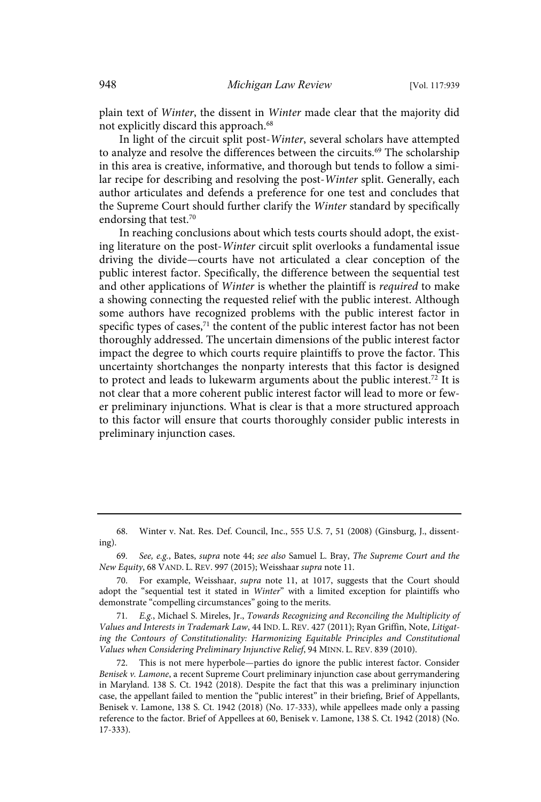plain text of Winter, the dissent in Winter made clear that the majority did not explicitly discard this approach.<sup>68</sup>

In light of the circuit split post-Winter, several scholars have attempted to analyze and resolve the differences between the circuits.<sup>69</sup> The scholarship in this area is creative, informative, and thorough but tends to follow a similar recipe for describing and resolving the post-Winter split. Generally, each author articulates and defends a preference for one test and concludes that the Supreme Court should further clarify the Winter standard by specifically endorsing that test.<sup>70</sup>

In reaching conclusions about which tests courts should adopt, the existing literature on the post-Winter circuit split overlooks a fundamental issue driving the divide—courts have not articulated a clear conception of the public interest factor. Specifically, the difference between the sequential test and other applications of Winter is whether the plaintiff is required to make a showing connecting the requested relief with the public interest. Although some authors have recognized problems with the public interest factor in specific types of cases, $71$  the content of the public interest factor has not been thoroughly addressed. The uncertain dimensions of the public interest factor impact the degree to which courts require plaintiffs to prove the factor. This uncertainty shortchanges the nonparty interests that this factor is designed to protect and leads to lukewarm arguments about the public interest.<sup>72</sup> It is not clear that a more coherent public interest factor will lead to more or fewer preliminary injunctions. What is clear is that a more structured approach to this factor will ensure that courts thoroughly consider public interests in preliminary injunction cases.

<sup>68.</sup> Winter v. Nat. Res. Def. Council, Inc., 555 U.S. 7, 51 (2008) (Ginsburg, J., dissenting).

<sup>69.</sup> See, e.g., Bates, supra note 44; see also Samuel L. Bray, The Supreme Court and the New Equity, 68 VAND. L. REV. 997 (2015); Weisshaar supra note 11.

<sup>70.</sup> For example, Weisshaar, supra note 11, at 1017, suggests that the Court should adopt the "sequential test it stated in Winter" with a limited exception for plaintiffs who demonstrate "compelling circumstances" going to the merits.

<sup>71.</sup> E.g., Michael S. Mireles, Jr., Towards Recognizing and Reconciling the Multiplicity of Values and Interests in Trademark Law, 44 IND. L. REV. 427 (2011); Ryan Griffin, Note, Litigating the Contours of Constitutionality: Harmonizing Equitable Principles and Constitutional Values when Considering Preliminary Injunctive Relief, 94 MINN. L. REV. 839 (2010).

<sup>72.</sup> This is not mere hyperbole—parties do ignore the public interest factor. Consider Benisek v. Lamone, a recent Supreme Court preliminary injunction case about gerrymandering in Maryland. 138 S. Ct. 1942 (2018). Despite the fact that this was a preliminary injunction case, the appellant failed to mention the "public interest" in their briefing, Brief of Appellants, Benisek v. Lamone, 138 S. Ct. 1942 (2018) (No. 17-333), while appellees made only a passing reference to the factor. Brief of Appellees at 60, Benisek v. Lamone, 138 S. Ct. 1942 (2018) (No. 17-333).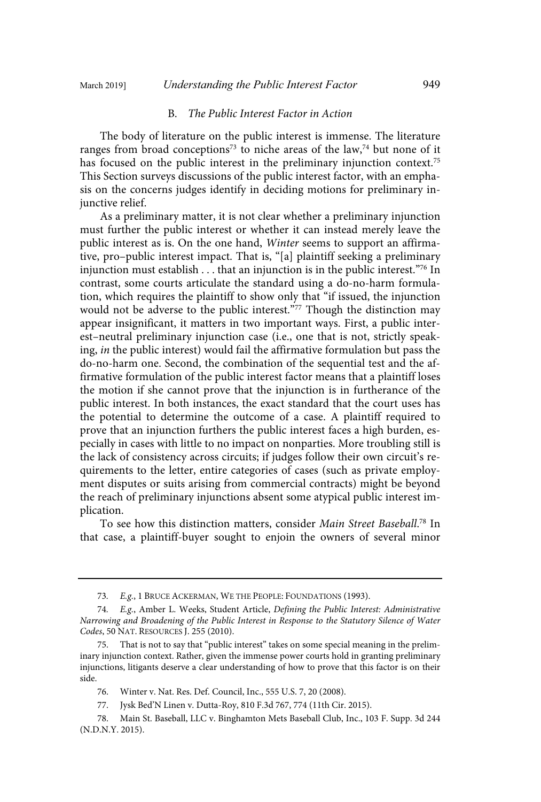#### B. The Public Interest Factor in Action

The body of literature on the public interest is immense. The literature ranges from broad conceptions<sup>73</sup> to niche areas of the law,<sup>74</sup> but none of it has focused on the public interest in the preliminary injunction context.<sup>75</sup> This Section surveys discussions of the public interest factor, with an emphasis on the concerns judges identify in deciding motions for preliminary injunctive relief.

As a preliminary matter, it is not clear whether a preliminary injunction must further the public interest or whether it can instead merely leave the public interest as is. On the one hand, Winter seems to support an affirmative, pro–public interest impact. That is, "[a] plaintiff seeking a preliminary injunction must establish  $\ldots$  that an injunction is in the public interest.<sup>"76</sup> In contrast, some courts articulate the standard using a do-no-harm formulation, which requires the plaintiff to show only that "if issued, the injunction would not be adverse to the public interest."77 Though the distinction may appear insignificant, it matters in two important ways. First, a public interest–neutral preliminary injunction case (i.e., one that is not, strictly speaking, in the public interest) would fail the affirmative formulation but pass the do-no-harm one. Second, the combination of the sequential test and the affirmative formulation of the public interest factor means that a plaintiff loses the motion if she cannot prove that the injunction is in furtherance of the public interest. In both instances, the exact standard that the court uses has the potential to determine the outcome of a case. A plaintiff required to prove that an injunction furthers the public interest faces a high burden, especially in cases with little to no impact on nonparties. More troubling still is the lack of consistency across circuits; if judges follow their own circuit's requirements to the letter, entire categories of cases (such as private employment disputes or suits arising from commercial contracts) might be beyond the reach of preliminary injunctions absent some atypical public interest implication.

To see how this distinction matters, consider Main Street Baseball.<sup>78</sup> In that case, a plaintiff-buyer sought to enjoin the owners of several minor

<sup>73.</sup> E.g., 1 BRUCE ACKERMAN, WE THE PEOPLE: FOUNDATIONS (1993).

<sup>74.</sup> E.g., Amber L. Weeks, Student Article, Defining the Public Interest: Administrative Narrowing and Broadening of the Public Interest in Response to the Statutory Silence of Water Codes, 50 NAT. RESOURCES J. 255 (2010).

<sup>75.</sup> That is not to say that "public interest" takes on some special meaning in the preliminary injunction context. Rather, given the immense power courts hold in granting preliminary injunctions, litigants deserve a clear understanding of how to prove that this factor is on their side.

<sup>76.</sup> Winter v. Nat. Res. Def. Council, Inc., 555 U.S. 7, 20 (2008).

<sup>77.</sup> Jysk Bed'N Linen v. Dutta-Roy, 810 F.3d 767, 774 (11th Cir. 2015).

<sup>78.</sup> Main St. Baseball, LLC v. Binghamton Mets Baseball Club, Inc., 103 F. Supp. 3d 244 (N.D.N.Y. 2015).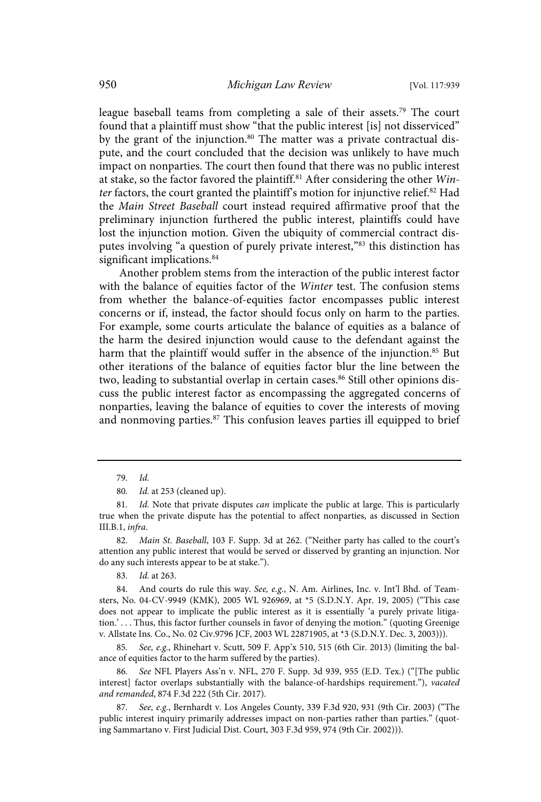league baseball teams from completing a sale of their assets.<sup>79</sup> The court found that a plaintiff must show "that the public interest [is] not disserviced" by the grant of the injunction.<sup>80</sup> The matter was a private contractual dispute, and the court concluded that the decision was unlikely to have much impact on nonparties. The court then found that there was no public interest at stake, so the factor favored the plaintiff.<sup>81</sup> After considering the other  $Win$ ter factors, the court granted the plaintiff's motion for injunctive relief.<sup>82</sup> Had the Main Street Baseball court instead required affirmative proof that the preliminary injunction furthered the public interest, plaintiffs could have lost the injunction motion. Given the ubiquity of commercial contract disputes involving "a question of purely private interest,"<sup>83</sup> this distinction has significant implications.<sup>84</sup>

Another problem stems from the interaction of the public interest factor with the balance of equities factor of the Winter test. The confusion stems from whether the balance-of-equities factor encompasses public interest concerns or if, instead, the factor should focus only on harm to the parties. For example, some courts articulate the balance of equities as a balance of the harm the desired injunction would cause to the defendant against the harm that the plaintiff would suffer in the absence of the injunction.<sup>85</sup> But other iterations of the balance of equities factor blur the line between the two, leading to substantial overlap in certain cases.<sup>86</sup> Still other opinions discuss the public interest factor as encompassing the aggregated concerns of nonparties, leaving the balance of equities to cover the interests of moving and nonmoving parties.<sup>87</sup> This confusion leaves parties ill equipped to brief

84. And courts do rule this way. See, e.g., N. Am. Airlines, Inc. v. Int'l Bhd. of Teamsters, No. 04-CV-9949 (KMK), 2005 WL 926969, at \*5 (S.D.N.Y. Apr. 19, 2005) ("This case does not appear to implicate the public interest as it is essentially 'a purely private litigation.' . . . Thus, this factor further counsels in favor of denying the motion." (quoting Greenige v. Allstate Ins. Co., No. 02 Civ.9796 JCF, 2003 WL 22871905, at \*3 (S.D.N.Y. Dec. 3, 2003))).

85. See, e.g., Rhinehart v. Scutt, 509 F. App'x 510, 515 (6th Cir. 2013) (limiting the balance of equities factor to the harm suffered by the parties).

See NFL Players Ass'n v. NFL, 270 F. Supp. 3d 939, 955 (E.D. Tex.) ("[The public interest] factor overlaps substantially with the balance-of-hardships requirement."), vacated and remanded, 874 F.3d 222 (5th Cir. 2017).

87. See, e.g., Bernhardt v. Los Angeles County, 339 F.3d 920, 931 (9th Cir. 2003) ("The public interest inquiry primarily addresses impact on non-parties rather than parties." (quoting Sammartano v. First Judicial Dist. Court, 303 F.3d 959, 974 (9th Cir. 2002))).

<sup>79.</sup> Id.

<sup>80.</sup> *Id.* at 253 (cleaned up).

<sup>81.</sup> *Id.* Note that private disputes *can* implicate the public at large. This is particularly true when the private dispute has the potential to affect nonparties, as discussed in Section III.B.1, infra.

<sup>82.</sup> Main St. Baseball, 103 F. Supp. 3d at 262. ("Neither party has called to the court's attention any public interest that would be served or disserved by granting an injunction. Nor do any such interests appear to be at stake.").

<sup>83.</sup> *Id.* at 263.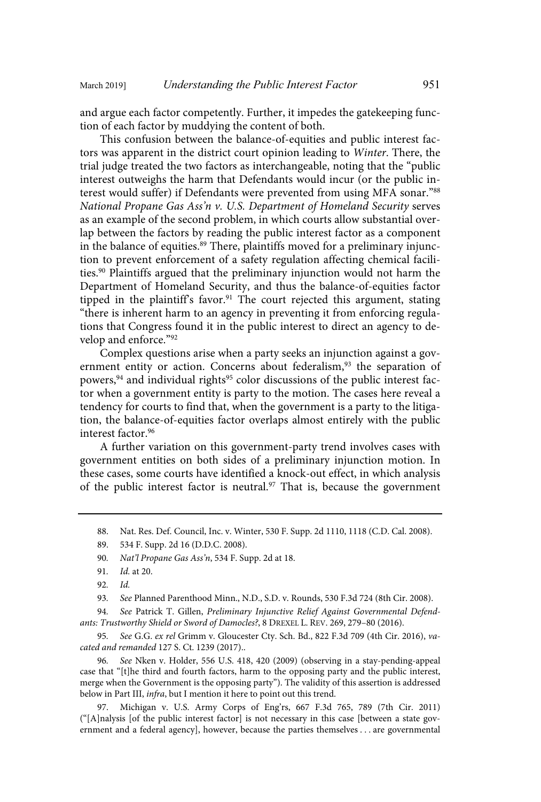and argue each factor competently. Further, it impedes the gatekeeping function of each factor by muddying the content of both.

This confusion between the balance-of-equities and public interest factors was apparent in the district court opinion leading to Winter. There, the trial judge treated the two factors as interchangeable, noting that the "public interest outweighs the harm that Defendants would incur (or the public interest would suffer) if Defendants were prevented from using MFA sonar."<sup>88</sup> National Propane Gas Ass'n v. U.S. Department of Homeland Security serves as an example of the second problem, in which courts allow substantial overlap between the factors by reading the public interest factor as a component in the balance of equities.<sup>89</sup> There, plaintiffs moved for a preliminary injunction to prevent enforcement of a safety regulation affecting chemical facilities.<sup>90</sup> Plaintiffs argued that the preliminary injunction would not harm the Department of Homeland Security, and thus the balance-of-equities factor tipped in the plaintiff's favor.<sup>91</sup> The court rejected this argument, stating "there is inherent harm to an agency in preventing it from enforcing regulations that Congress found it in the public interest to direct an agency to develop and enforce."<sup>92</sup>

Complex questions arise when a party seeks an injunction against a government entity or action. Concerns about federalism,<sup>93</sup> the separation of powers,  $94$  and individual rights<sup>95</sup> color discussions of the public interest factor when a government entity is party to the motion. The cases here reveal a tendency for courts to find that, when the government is a party to the litigation, the balance-of-equities factor overlaps almost entirely with the public interest factor.<sup>96</sup>

A further variation on this government-party trend involves cases with government entities on both sides of a preliminary injunction motion. In these cases, some courts have identified a knock-out effect, in which analysis of the public interest factor is neutral.<sup>97</sup> That is, because the government

94. See Patrick T. Gillen, Preliminary Injunctive Relief Against Governmental Defendants: Trustworthy Shield or Sword of Damocles?, 8 DREXEL L. REV. 269, 279–80 (2016).

95. See G.G. ex rel Grimm v. Gloucester Cty. Sch. Bd., 822 F.3d 709 (4th Cir. 2016), vacated and remanded 127 S. Ct. 1239 (2017)..

96. See Nken v. Holder, 556 U.S. 418, 420 (2009) (observing in a stay-pending-appeal case that "[t]he third and fourth factors, harm to the opposing party and the public interest, merge when the Government is the opposing party"). The validity of this assertion is addressed below in Part III, infra, but I mention it here to point out this trend.

97. Michigan v. U.S. Army Corps of Eng'rs, 667 F.3d 765, 789 (7th Cir. 2011) ("[A]nalysis [of the public interest factor] is not necessary in this case [between a state government and a federal agency], however, because the parties themselves . . . are governmental

<sup>88.</sup> Nat. Res. Def. Council, Inc. v. Winter, 530 F. Supp. 2d 1110, 1118 (C.D. Cal. 2008).

<sup>89. 534</sup> F. Supp. 2d 16 (D.D.C. 2008).

<sup>90.</sup> Nat'l Propane Gas Ass'n, 534 F. Supp. 2d at 18.

<sup>91.</sup> *Id.* at 20.

 $92.$  *Id.* 

<sup>93.</sup> See Planned Parenthood Minn., N.D., S.D. v. Rounds, 530 F.3d 724 (8th Cir. 2008).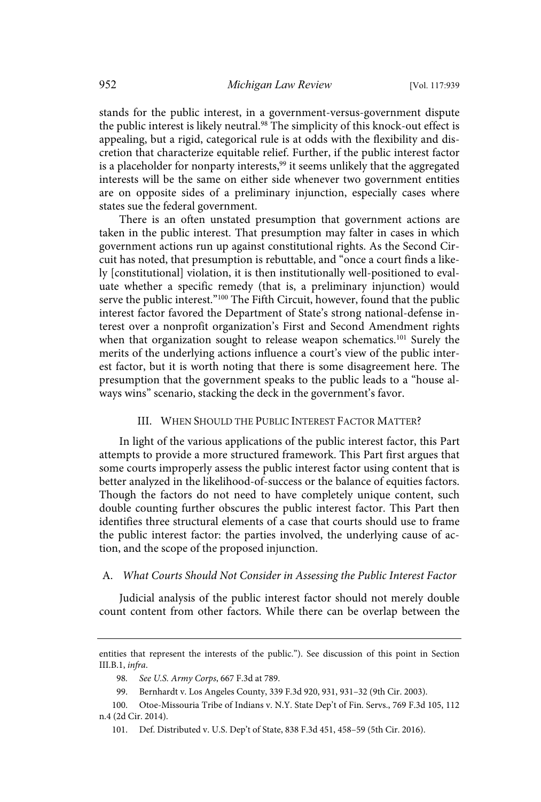stands for the public interest, in a government-versus-government dispute the public interest is likely neutral.<sup>98</sup> The simplicity of this knock-out effect is appealing, but a rigid, categorical rule is at odds with the flexibility and discretion that characterize equitable relief. Further, if the public interest factor is a placeholder for nonparty interests, $99$  it seems unlikely that the aggregated interests will be the same on either side whenever two government entities are on opposite sides of a preliminary injunction, especially cases where states sue the federal government.

There is an often unstated presumption that government actions are taken in the public interest. That presumption may falter in cases in which government actions run up against constitutional rights. As the Second Circuit has noted, that presumption is rebuttable, and "once a court finds a likely [constitutional] violation, it is then institutionally well-positioned to evaluate whether a specific remedy (that is, a preliminary injunction) would serve the public interest."<sup>100</sup> The Fifth Circuit, however, found that the public interest factor favored the Department of State's strong national-defense interest over a nonprofit organization's First and Second Amendment rights when that organization sought to release weapon schematics.<sup>101</sup> Surely the merits of the underlying actions influence a court's view of the public interest factor, but it is worth noting that there is some disagreement here. The presumption that the government speaks to the public leads to a "house always wins" scenario, stacking the deck in the government's favor.

#### III. WHEN SHOULD THE PUBLIC INTEREST FACTOR MATTER?

In light of the various applications of the public interest factor, this Part attempts to provide a more structured framework. This Part first argues that some courts improperly assess the public interest factor using content that is better analyzed in the likelihood-of-success or the balance of equities factors. Though the factors do not need to have completely unique content, such double counting further obscures the public interest factor. This Part then identifies three structural elements of a case that courts should use to frame the public interest factor: the parties involved, the underlying cause of action, and the scope of the proposed injunction.

#### A. What Courts Should Not Consider in Assessing the Public Interest Factor

Judicial analysis of the public interest factor should not merely double count content from other factors. While there can be overlap between the

entities that represent the interests of the public."). See discussion of this point in Section III.B.1, infra.

<sup>98.</sup> See U.S. Army Corps, 667 F.3d at 789.

<sup>99.</sup> Bernhardt v. Los Angeles County, 339 F.3d 920, 931, 931–32 (9th Cir. 2003).

<sup>100.</sup> Otoe-Missouria Tribe of Indians v. N.Y. State Dep't of Fin. Servs., 769 F.3d 105, 112 n.4 (2d Cir. 2014).

<sup>101.</sup> Def. Distributed v. U.S. Dep't of State, 838 F.3d 451, 458–59 (5th Cir. 2016).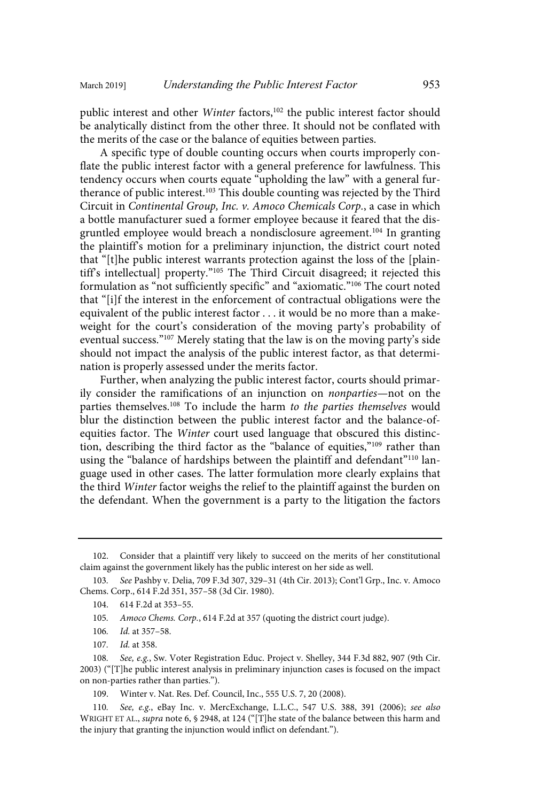public interest and other Winter factors,<sup>102</sup> the public interest factor should be analytically distinct from the other three. It should not be conflated with the merits of the case or the balance of equities between parties.

A specific type of double counting occurs when courts improperly conflate the public interest factor with a general preference for lawfulness. This tendency occurs when courts equate "upholding the law" with a general furtherance of public interest.<sup>103</sup> This double counting was rejected by the Third Circuit in Continental Group, Inc. v. Amoco Chemicals Corp., a case in which a bottle manufacturer sued a former employee because it feared that the disgruntled employee would breach a nondisclosure agreement.<sup>104</sup> In granting the plaintiff's motion for a preliminary injunction, the district court noted that "[t]he public interest warrants protection against the loss of the [plaintiff's intellectual] property."<sup>105</sup> The Third Circuit disagreed; it rejected this formulation as "not sufficiently specific" and "axiomatic."<sup>106</sup> The court noted that "[i]f the interest in the enforcement of contractual obligations were the equivalent of the public interest factor . . . it would be no more than a makeweight for the court's consideration of the moving party's probability of eventual success."<sup>107</sup> Merely stating that the law is on the moving party's side should not impact the analysis of the public interest factor, as that determination is properly assessed under the merits factor.

Further, when analyzing the public interest factor, courts should primarily consider the ramifications of an injunction on nonparties—not on the parties themselves.<sup>108</sup> To include the harm to the parties themselves would blur the distinction between the public interest factor and the balance-ofequities factor. The Winter court used language that obscured this distinction, describing the third factor as the "balance of equities,"<sup>109</sup> rather than using the "balance of hardships between the plaintiff and defendant"<sup>110</sup> language used in other cases. The latter formulation more clearly explains that the third Winter factor weighs the relief to the plaintiff against the burden on the defendant. When the government is a party to the litigation the factors

Consider that a plaintiff very likely to succeed on the merits of her constitutional claim against the government likely has the public interest on her side as well.

<sup>103</sup> . See Pashby v. Delia, 709 F.3d 307, 329–31 (4th Cir. 2013); Cont'l Grp., Inc. v. Amoco Chems. Corp., 614 F.2d 351, 357–58 (3d Cir. 1980).

<sup>104. 614</sup> F.2d at 353–55.

<sup>105.</sup> Amoco Chems. Corp., 614 F.2d at 357 (quoting the district court judge).

<sup>106.</sup> *Id.* at 357-58.

<sup>107.</sup> *Id.* at 358.

<sup>108.</sup> See, e.g., Sw. Voter Registration Educ. Project v. Shelley, 344 F.3d 882, 907 (9th Cir. 2003) ("[T]he public interest analysis in preliminary injunction cases is focused on the impact on non-parties rather than parties.").

<sup>109.</sup> Winter v. Nat. Res. Def. Council, Inc., 555 U.S. 7, 20 (2008).

<sup>110.</sup> See, e.g., eBay Inc. v. MercExchange, L.L.C., 547 U.S. 388, 391 (2006); see also WRIGHT ET AL., *supra* note 6, § 2948, at 124 ("[T]he state of the balance between this harm and the injury that granting the injunction would inflict on defendant.").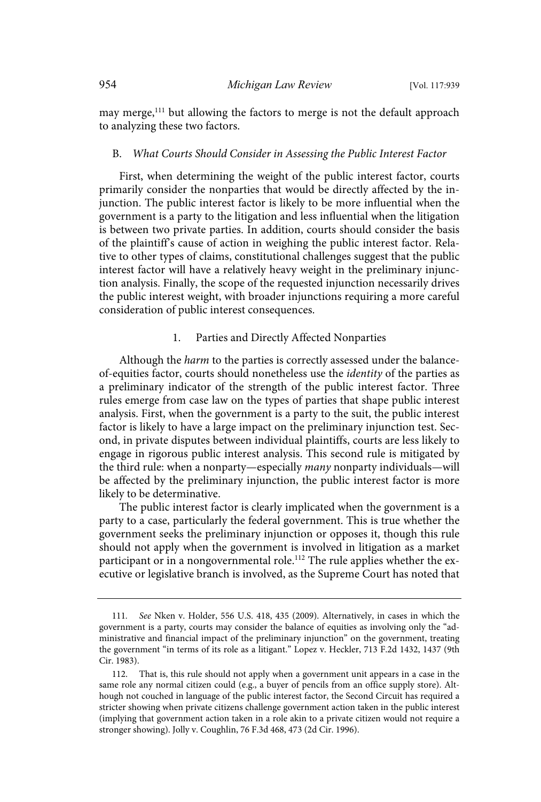may merge,<sup>111</sup> but allowing the factors to merge is not the default approach to analyzing these two factors.

#### B. What Courts Should Consider in Assessing the Public Interest Factor

First, when determining the weight of the public interest factor, courts primarily consider the nonparties that would be directly affected by the injunction. The public interest factor is likely to be more influential when the government is a party to the litigation and less influential when the litigation is between two private parties. In addition, courts should consider the basis of the plaintiff's cause of action in weighing the public interest factor. Relative to other types of claims, constitutional challenges suggest that the public interest factor will have a relatively heavy weight in the preliminary injunction analysis. Finally, the scope of the requested injunction necessarily drives the public interest weight, with broader injunctions requiring a more careful consideration of public interest consequences.

#### 1. Parties and Directly Affected Nonparties

Although the *harm* to the parties is correctly assessed under the balanceof-equities factor, courts should nonetheless use the identity of the parties as a preliminary indicator of the strength of the public interest factor. Three rules emerge from case law on the types of parties that shape public interest analysis. First, when the government is a party to the suit, the public interest factor is likely to have a large impact on the preliminary injunction test. Second, in private disputes between individual plaintiffs, courts are less likely to engage in rigorous public interest analysis. This second rule is mitigated by the third rule: when a nonparty—especially many nonparty individuals—will be affected by the preliminary injunction, the public interest factor is more likely to be determinative.

The public interest factor is clearly implicated when the government is a party to a case, particularly the federal government. This is true whether the government seeks the preliminary injunction or opposes it, though this rule should not apply when the government is involved in litigation as a market participant or in a nongovernmental role.<sup>112</sup> The rule applies whether the executive or legislative branch is involved, as the Supreme Court has noted that

<sup>111.</sup> See Nken v. Holder, 556 U.S. 418, 435 (2009). Alternatively, in cases in which the government is a party, courts may consider the balance of equities as involving only the "administrative and financial impact of the preliminary injunction" on the government, treating the government "in terms of its role as a litigant." Lopez v. Heckler, 713 F.2d 1432, 1437 (9th Cir. 1983).

<sup>112.</sup> That is, this rule should not apply when a government unit appears in a case in the same role any normal citizen could (e.g., a buyer of pencils from an office supply store). Although not couched in language of the public interest factor, the Second Circuit has required a stricter showing when private citizens challenge government action taken in the public interest (implying that government action taken in a role akin to a private citizen would not require a stronger showing). Jolly v. Coughlin, 76 F.3d 468, 473 (2d Cir. 1996).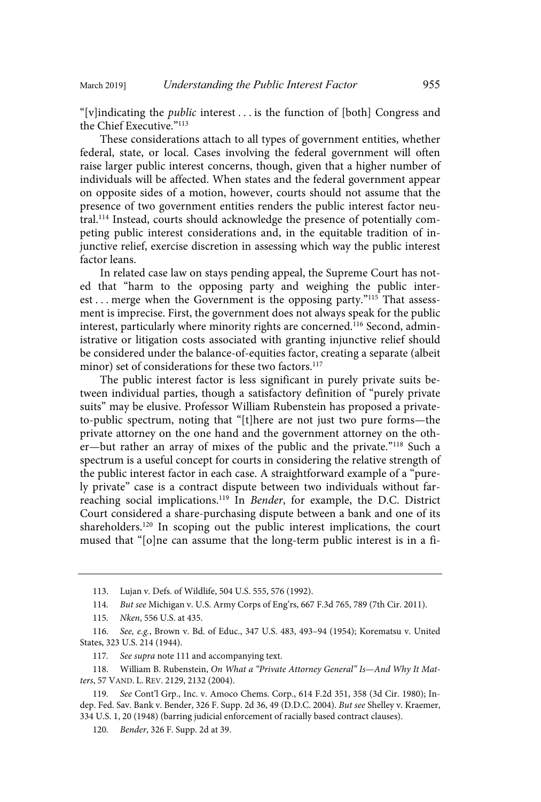"[v]indicating the public interest . . . is the function of [both] Congress and the Chief Executive."113

These considerations attach to all types of government entities, whether federal, state, or local. Cases involving the federal government will often raise larger public interest concerns, though, given that a higher number of individuals will be affected. When states and the federal government appear on opposite sides of a motion, however, courts should not assume that the presence of two government entities renders the public interest factor neutral.<sup>114</sup> Instead, courts should acknowledge the presence of potentially competing public interest considerations and, in the equitable tradition of injunctive relief, exercise discretion in assessing which way the public interest factor leans.

In related case law on stays pending appeal, the Supreme Court has noted that "harm to the opposing party and weighing the public interest . . . merge when the Government is the opposing party."<sup>115</sup> That assessment is imprecise. First, the government does not always speak for the public interest, particularly where minority rights are concerned.<sup>116</sup> Second, administrative or litigation costs associated with granting injunctive relief should be considered under the balance-of-equities factor, creating a separate (albeit minor) set of considerations for these two factors.<sup>117</sup>

The public interest factor is less significant in purely private suits between individual parties, though a satisfactory definition of "purely private suits" may be elusive. Professor William Rubenstein has proposed a privateto-public spectrum, noting that "[t]here are not just two pure forms—the private attorney on the one hand and the government attorney on the other—but rather an array of mixes of the public and the private."<sup>118</sup> Such a spectrum is a useful concept for courts in considering the relative strength of the public interest factor in each case. A straightforward example of a "purely private" case is a contract dispute between two individuals without farreaching social implications.<sup>119</sup> In Bender, for example, the D.C. District Court considered a share-purchasing dispute between a bank and one of its shareholders.<sup>120</sup> In scoping out the public interest implications, the court mused that "[o]ne can assume that the long-term public interest is in a fi-

117. See supra note 111 and accompanying text.

<sup>113.</sup> Lujan v. Defs. of Wildlife, 504 U.S. 555, 576 (1992).

<sup>114</sup> . But see Michigan v. U.S. Army Corps of Eng'rs, 667 F.3d 765, 789 (7th Cir. 2011).

<sup>115.</sup> Nken, 556 U.S. at 435.

<sup>116.</sup> See, e.g., Brown v. Bd. of Educ., 347 U.S. 483, 493-94 (1954); Korematsu v. United States, 323 U.S. 214 (1944).

<sup>118.</sup> William B. Rubenstein, On What a "Private Attorney General" Is-And Why It Matters, 57 VAND. L. REV. 2129, 2132 (2004).

<sup>119</sup> . See Cont'l Grp., Inc. v. Amoco Chems. Corp., 614 F.2d 351, 358 (3d Cir. 1980); Indep. Fed. Sav. Bank v. Bender, 326 F. Supp. 2d 36, 49 (D.D.C. 2004). But see Shelley v. Kraemer, 334 U.S. 1, 20 (1948) (barring judicial enforcement of racially based contract clauses).

<sup>120.</sup> *Bender*, 326 F. Supp. 2d at 39.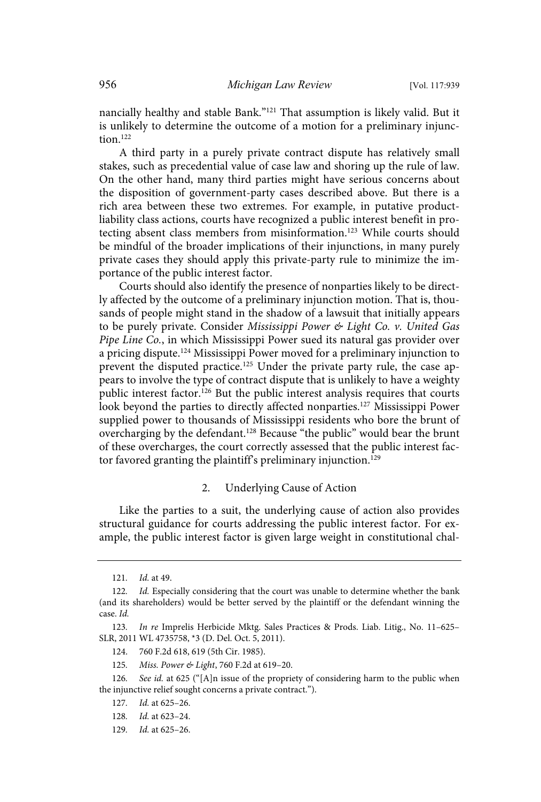nancially healthy and stable Bank."<sup>121</sup> That assumption is likely valid. But it is unlikely to determine the outcome of a motion for a preliminary injunction.<sup>122</sup>

A third party in a purely private contract dispute has relatively small stakes, such as precedential value of case law and shoring up the rule of law. On the other hand, many third parties might have serious concerns about the disposition of government-party cases described above. But there is a rich area between these two extremes. For example, in putative productliability class actions, courts have recognized a public interest benefit in protecting absent class members from misinformation.<sup>123</sup> While courts should be mindful of the broader implications of their injunctions, in many purely private cases they should apply this private-party rule to minimize the importance of the public interest factor.

Courts should also identify the presence of nonparties likely to be directly affected by the outcome of a preliminary injunction motion. That is, thousands of people might stand in the shadow of a lawsuit that initially appears to be purely private. Consider Mississippi Power & Light Co. v. United Gas Pipe Line Co., in which Mississippi Power sued its natural gas provider over a pricing dispute.<sup>124</sup> Mississippi Power moved for a preliminary injunction to prevent the disputed practice.<sup>125</sup> Under the private party rule, the case appears to involve the type of contract dispute that is unlikely to have a weighty public interest factor.<sup>126</sup> But the public interest analysis requires that courts look beyond the parties to directly affected nonparties.<sup>127</sup> Mississippi Power supplied power to thousands of Mississippi residents who bore the brunt of overcharging by the defendant.<sup>128</sup> Because "the public" would bear the brunt of these overcharges, the court correctly assessed that the public interest factor favored granting the plaintiff's preliminary injunction.<sup>129</sup>

#### 2. Underlying Cause of Action

Like the parties to a suit, the underlying cause of action also provides structural guidance for courts addressing the public interest factor. For example, the public interest factor is given large weight in constitutional chal-

<sup>121.</sup> *Id.* at 49.

<sup>122.</sup> Id. Especially considering that the court was unable to determine whether the bank (and its shareholders) would be better served by the plaintiff or the defendant winning the case. Id.

<sup>123.</sup> In re Imprelis Herbicide Mktg. Sales Practices & Prods. Liab. Litig., No. 11-625-SLR, 2011 WL 4735758, \*3 (D. Del. Oct. 5, 2011).

<sup>124. 760</sup> F.2d 618, 619 (5th Cir. 1985).

<sup>125.</sup> Miss. Power & Light, 760 F.2d at 619–20.

<sup>126.</sup> See id. at 625 ("[A]n issue of the propriety of considering harm to the public when the injunctive relief sought concerns a private contract.").

<sup>127.</sup> *Id.* at 625-26.

<sup>128.</sup> *Id.* at 623-24.

<sup>129.</sup> *Id.* at 625-26.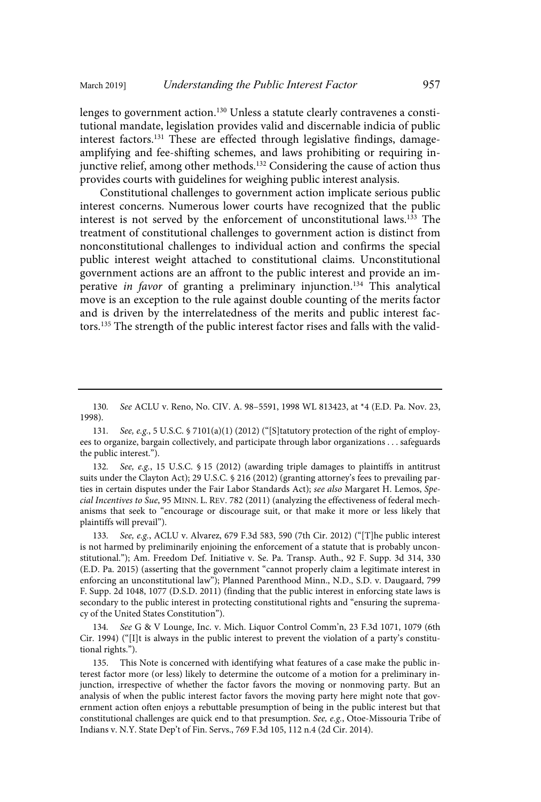lenges to government action.<sup>130</sup> Unless a statute clearly contravenes a constitutional mandate, legislation provides valid and discernable indicia of public interest factors.<sup>131</sup> These are effected through legislative findings, damageamplifying and fee-shifting schemes, and laws prohibiting or requiring injunctive relief, among other methods.<sup>132</sup> Considering the cause of action thus provides courts with guidelines for weighing public interest analysis.

Constitutional challenges to government action implicate serious public interest concerns. Numerous lower courts have recognized that the public interest is not served by the enforcement of unconstitutional laws.<sup>133</sup> The treatment of constitutional challenges to government action is distinct from nonconstitutional challenges to individual action and confirms the special public interest weight attached to constitutional claims. Unconstitutional government actions are an affront to the public interest and provide an imperative in favor of granting a preliminary injunction.<sup>134</sup> This analytical move is an exception to the rule against double counting of the merits factor and is driven by the interrelatedness of the merits and public interest factors.<sup>135</sup> The strength of the public interest factor rises and falls with the valid-

132. See, e.g., 15 U.S.C. § 15 (2012) (awarding triple damages to plaintiffs in antitrust suits under the Clayton Act); 29 U.S.C. § 216 (2012) (granting attorney's fees to prevailing parties in certain disputes under the Fair Labor Standards Act); see also Margaret H. Lemos, Special Incentives to Sue, 95 MINN. L. REV. 782 (2011) (analyzing the effectiveness of federal mechanisms that seek to "encourage or discourage suit, or that make it more or less likely that plaintiffs will prevail").

133. See, e.g., ACLU v. Alvarez, 679 F.3d 583, 590 (7th Cir. 2012) ("[T]he public interest is not harmed by preliminarily enjoining the enforcement of a statute that is probably unconstitutional."); Am. Freedom Def. Initiative v. Se. Pa. Transp. Auth., 92 F. Supp. 3d 314, 330 (E.D. Pa. 2015) (asserting that the government "cannot properly claim a legitimate interest in enforcing an unconstitutional law"); Planned Parenthood Minn., N.D., S.D. v. Daugaard, 799 F. Supp. 2d 1048, 1077 (D.S.D. 2011) (finding that the public interest in enforcing state laws is secondary to the public interest in protecting constitutional rights and "ensuring the supremacy of the United States Constitution").

134. See G & V Lounge, Inc. v. Mich. Liquor Control Comm'n, 23 F.3d 1071, 1079 (6th Cir. 1994) ("[I]t is always in the public interest to prevent the violation of a party's constitutional rights.").

135. This Note is concerned with identifying what features of a case make the public interest factor more (or less) likely to determine the outcome of a motion for a preliminary injunction, irrespective of whether the factor favors the moving or nonmoving party. But an analysis of when the public interest factor favors the moving party here might note that government action often enjoys a rebuttable presumption of being in the public interest but that constitutional challenges are quick end to that presumption. See, e.g., Otoe-Missouria Tribe of Indians v. N.Y. State Dep't of Fin. Servs., 769 F.3d 105, 112 n.4 (2d Cir. 2014).

<sup>130.</sup> See ACLU v. Reno, No. CIV. A. 98-5591, 1998 WL 813423, at \*4 (E.D. Pa. Nov. 23, 1998).

<sup>131.</sup> See, e.g., 5 U.S.C. § 7101(a)(1) (2012) ("[S]tatutory protection of the right of employees to organize, bargain collectively, and participate through labor organizations . . . safeguards the public interest.").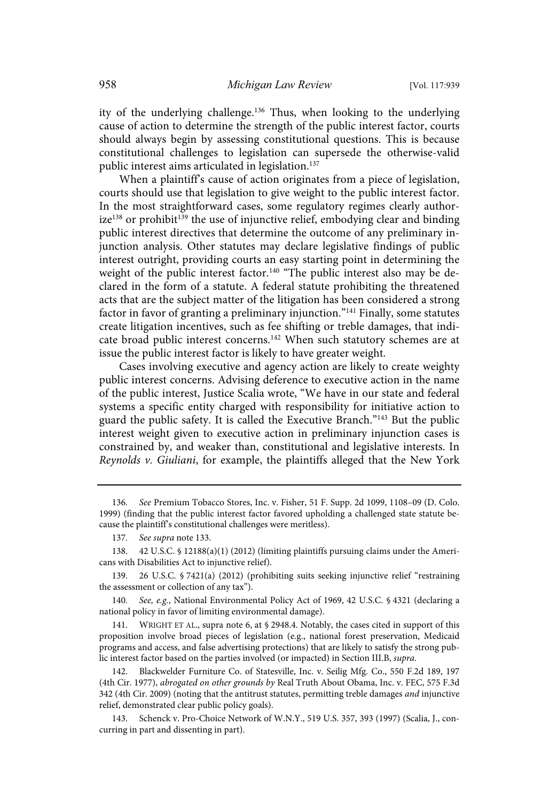ity of the underlying challenge.<sup>136</sup> Thus, when looking to the underlying cause of action to determine the strength of the public interest factor, courts should always begin by assessing constitutional questions. This is because constitutional challenges to legislation can supersede the otherwise-valid public interest aims articulated in legislation.<sup>137</sup>

When a plaintiff's cause of action originates from a piece of legislation, courts should use that legislation to give weight to the public interest factor. In the most straightforward cases, some regulatory regimes clearly author $ize^{138}$  or prohibit<sup>139</sup> the use of injunctive relief, embodying clear and binding public interest directives that determine the outcome of any preliminary injunction analysis. Other statutes may declare legislative findings of public interest outright, providing courts an easy starting point in determining the weight of the public interest factor.<sup>140</sup> "The public interest also may be declared in the form of a statute. A federal statute prohibiting the threatened acts that are the subject matter of the litigation has been considered a strong factor in favor of granting a preliminary injunction."<sup>141</sup> Finally, some statutes create litigation incentives, such as fee shifting or treble damages, that indicate broad public interest concerns.<sup>142</sup> When such statutory schemes are at issue the public interest factor is likely to have greater weight.

Cases involving executive and agency action are likely to create weighty public interest concerns. Advising deference to executive action in the name of the public interest, Justice Scalia wrote, "We have in our state and federal systems a specific entity charged with responsibility for initiative action to guard the public safety. It is called the Executive Branch."<sup>143</sup> But the public interest weight given to executive action in preliminary injunction cases is constrained by, and weaker than, constitutional and legislative interests. In Reynolds v. Giuliani, for example, the plaintiffs alleged that the New York

140. See, e.g., National Environmental Policy Act of 1969, 42 U.S.C. § 4321 (declaring a national policy in favor of limiting environmental damage).

141. WRIGHT ET AL., supra note 6, at § 2948.4. Notably, the cases cited in support of this proposition involve broad pieces of legislation (e.g., national forest preservation, Medicaid programs and access, and false advertising protections) that are likely to satisfy the strong public interest factor based on the parties involved (or impacted) in Section III.B, supra.

142. Blackwelder Furniture Co. of Statesville, Inc. v. Seilig Mfg. Co., 550 F.2d 189, 197 (4th Cir. 1977), abrogated on other grounds by Real Truth About Obama, Inc. v. FEC, 575 F.3d 342 (4th Cir. 2009) (noting that the antitrust statutes, permitting treble damages and injunctive relief, demonstrated clear public policy goals).

143. Schenck v. Pro-Choice Network of W.N.Y., 519 U.S. 357, 393 (1997) (Scalia, J., concurring in part and dissenting in part).

<sup>136.</sup> See Premium Tobacco Stores, Inc. v. Fisher, 51 F. Supp. 2d 1099, 1108-09 (D. Colo. 1999) (finding that the public interest factor favored upholding a challenged state statute because the plaintiff's constitutional challenges were meritless).

<sup>137.</sup> See supra note 133.

<sup>138. 42</sup> U.S.C. § 12188(a)(1) (2012) (limiting plaintiffs pursuing claims under the Americans with Disabilities Act to injunctive relief).

<sup>139. 26</sup> U.S.C. § 7421(a) (2012) (prohibiting suits seeking injunctive relief "restraining the assessment or collection of any tax").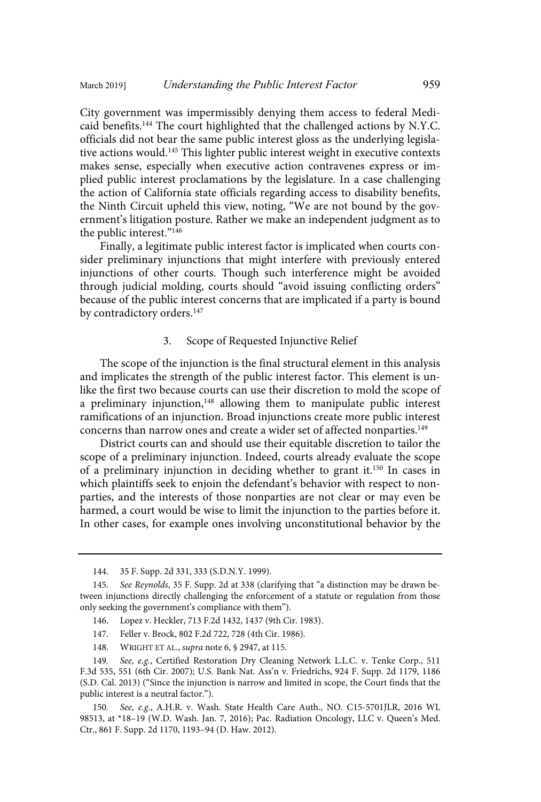City government was impermissibly denying them access to federal Medicaid benefits.<sup>144</sup> The court highlighted that the challenged actions by N.Y.C. officials did not bear the same public interest gloss as the underlying legislative actions would.<sup>145</sup> This lighter public interest weight in executive contexts makes sense, especially when executive action contravenes express or implied public interest proclamations by the legislature. In a case challenging the action of California state officials regarding access to disability benefits, the Ninth Circuit upheld this view, noting, "We are not bound by the government's litigation posture. Rather we make an independent judgment as to the public interest."<sup>146</sup>

Finally, a legitimate public interest factor is implicated when courts consider preliminary injunctions that might interfere with previously entered injunctions of other courts. Though such interference might be avoided through judicial molding, courts should "avoid issuing conflicting orders" because of the public interest concerns that are implicated if a party is bound by contradictory orders.<sup>147</sup>

#### 3. Scope of Requested Injunctive Relief

The scope of the injunction is the final structural element in this analysis and implicates the strength of the public interest factor. This element is unlike the first two because courts can use their discretion to mold the scope of a preliminary injunction, $148$  allowing them to manipulate public interest ramifications of an injunction. Broad injunctions create more public interest concerns than narrow ones and create a wider set of affected nonparties.<sup>149</sup>

District courts can and should use their equitable discretion to tailor the scope of a preliminary injunction. Indeed, courts already evaluate the scope of a preliminary injunction in deciding whether to grant it.<sup>150</sup> In cases in which plaintiffs seek to enjoin the defendant's behavior with respect to nonparties, and the interests of those nonparties are not clear or may even be harmed, a court would be wise to limit the injunction to the parties before it. In other cases, for example ones involving unconstitutional behavior by the

148. WRIGHT ET AL., supra note 6, § 2947, at 115.

<sup>144.</sup> 35 F. Supp. 2d 331, 333 (S.D.N.Y. 1999).

<sup>145.</sup> See Reynolds, 35 F. Supp. 2d at 338 (clarifying that "a distinction may be drawn between injunctions directly challenging the enforcement of a statute or regulation from those only seeking the government's compliance with them").

<sup>146.</sup> Lopez v. Heckler, 713 F.2d 1432, 1437 (9th Cir. 1983).

<sup>147.</sup> Feller v. Brock, 802 F.2d 722, 728 (4th Cir. 1986).

<sup>149.</sup> See, e.g., Certified Restoration Dry Cleaning Network L.L.C. v. Tenke Corp., 511 F.3d 535, 551 (6th Cir. 2007); U.S. Bank Nat. Ass'n v. Friedrichs, 924 F. Supp. 2d 1179, 1186 (S.D. Cal. 2013) ("Since the injunction is narrow and limited in scope, the Court finds that the public interest is a neutral factor.").

<sup>150.</sup> See, e.g., A.H.R. v. Wash. State Health Care Auth., NO. C15-5701JLR, 2016 WL 98513, at \*18–19 (W.D. Wash. Jan. 7, 2016); Pac. Radiation Oncology, LLC v. Queen's Med. Ctr., 861 F. Supp. 2d 1170, 1193–94 (D. Haw. 2012).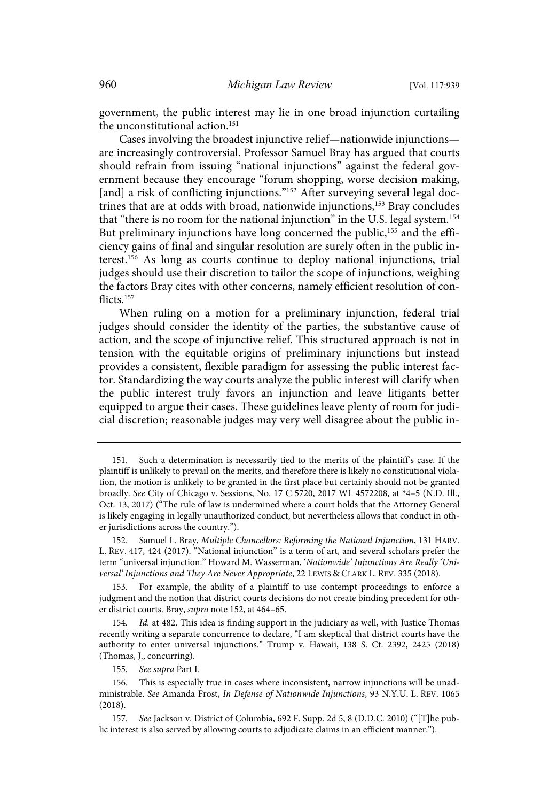government, the public interest may lie in one broad injunction curtailing the unconstitutional action.<sup>151</sup>

Cases involving the broadest injunctive relief—nationwide injunctions are increasingly controversial. Professor Samuel Bray has argued that courts should refrain from issuing "national injunctions" against the federal government because they encourage "forum shopping, worse decision making, [and] a risk of conflicting injunctions."<sup>152</sup> After surveying several legal doctrines that are at odds with broad, nationwide injunctions,<sup>153</sup> Bray concludes that "there is no room for the national injunction" in the U.S. legal system.<sup>154</sup> But preliminary injunctions have long concerned the public,<sup>155</sup> and the efficiency gains of final and singular resolution are surely often in the public interest.<sup>156</sup> As long as courts continue to deploy national injunctions, trial judges should use their discretion to tailor the scope of injunctions, weighing the factors Bray cites with other concerns, namely efficient resolution of conflicts.<sup>157</sup>

When ruling on a motion for a preliminary injunction, federal trial judges should consider the identity of the parties, the substantive cause of action, and the scope of injunctive relief. This structured approach is not in tension with the equitable origins of preliminary injunctions but instead provides a consistent, flexible paradigm for assessing the public interest factor. Standardizing the way courts analyze the public interest will clarify when the public interest truly favors an injunction and leave litigants better equipped to argue their cases. These guidelines leave plenty of room for judicial discretion; reasonable judges may very well disagree about the public in-

155. See supra Part I.

<sup>151.</sup> Such a determination is necessarily tied to the merits of the plaintiff's case. If the plaintiff is unlikely to prevail on the merits, and therefore there is likely no constitutional violation, the motion is unlikely to be granted in the first place but certainly should not be granted broadly. See City of Chicago v. Sessions, No. 17 C 5720, 2017 WL 4572208, at \*4–5 (N.D. Ill., Oct. 13, 2017) ("The rule of law is undermined where a court holds that the Attorney General is likely engaging in legally unauthorized conduct, but nevertheless allows that conduct in other jurisdictions across the country.").

<sup>152.</sup> Samuel L. Bray, Multiple Chancellors: Reforming the National Injunction, 131 HARV. L. REV. 417, 424 (2017). "National injunction" is a term of art, and several scholars prefer the term "universal injunction." Howard M. Wasserman, 'Nationwide' Injunctions Are Really 'Universal' Injunctions and They Are Never Appropriate, 22 LEWIS & CLARK L. REV. 335 (2018).

<sup>153.</sup> For example, the ability of a plaintiff to use contempt proceedings to enforce a judgment and the notion that district courts decisions do not create binding precedent for other district courts. Bray, supra note 152, at 464–65.

<sup>154.</sup> Id. at 482. This idea is finding support in the judiciary as well, with Justice Thomas recently writing a separate concurrence to declare, "I am skeptical that district courts have the authority to enter universal injunctions." Trump v. Hawaii, 138 S. Ct. 2392, 2425 (2018) (Thomas, J., concurring).

<sup>156.</sup> This is especially true in cases where inconsistent, narrow injunctions will be unadministrable. See Amanda Frost, In Defense of Nationwide Injunctions, 93 N.Y.U. L. REV. 1065 (2018).

<sup>157</sup> . See Jackson v. District of Columbia, 692 F. Supp. 2d 5, 8 (D.D.C. 2010) ("[T]he public interest is also served by allowing courts to adjudicate claims in an efficient manner.").